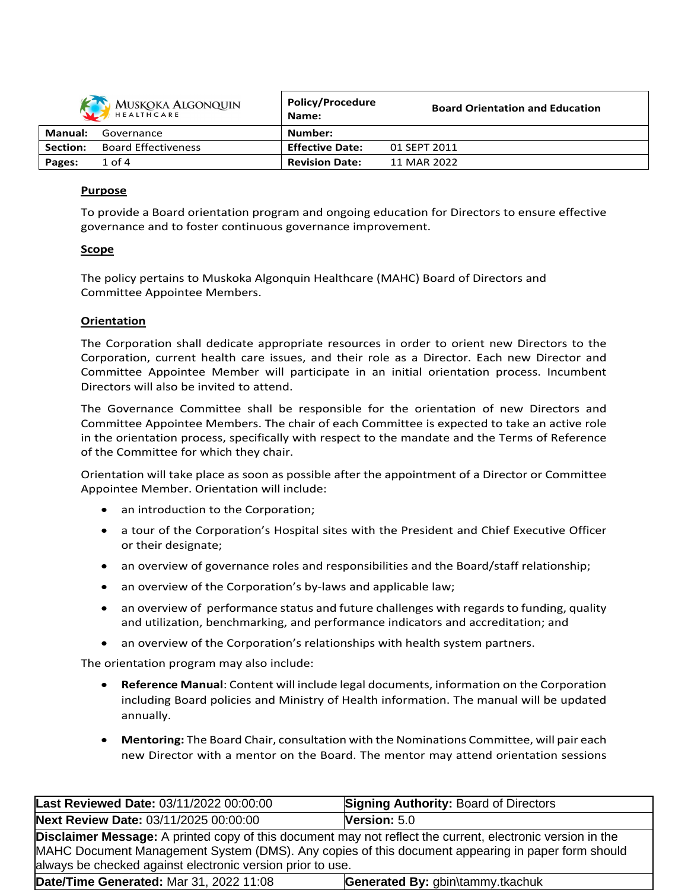|                | MUSKOKA ALGONQUIN          | <b>Policy/Procedure</b><br>Name: | <b>Board Orientation and Education</b> |
|----------------|----------------------------|----------------------------------|----------------------------------------|
| <b>Manual:</b> | Governance                 | Number:                          |                                        |
| Section:       | <b>Board Effectiveness</b> | <b>Effective Date:</b>           | 01 SEPT 2011                           |
| Pages:         | $1$ of $4$                 | <b>Revision Date:</b>            | 11 MAR 2022                            |

### **Purpose**

To provide a Board orientation program and ongoing education for Directors to ensure effective governance and to foster continuous governance improvement.

### **Scope**

The policy pertains to Muskoka Algonquin Healthcare (MAHC) Board of Directors and Committee Appointee Members.

### **Orientation**

The Corporation shall dedicate appropriate resources in order to orient new Directors to the Corporation, current health care issues, and their role as a Director. Each new Director and Committee Appointee Member will participate in an initial orientation process. Incumbent Directors will also be invited to attend.

The Governance Committee shall be responsible for the orientation of new Directors and Committee Appointee Members. The chair of each Committee is expected to take an active role in the orientation process, specifically with respect to the mandate and the Terms of Reference of the Committee for which they chair.

Orientation will take place as soon as possible after the appointment of a Director or Committee Appointee Member. Orientation will include:

- an introduction to the Corporation;
- a tour of the Corporation's Hospital sites with the President and Chief Executive Officer or their designate;
- an overview of governance roles and responsibilities and the Board/staff relationship;
- an overview of the Corporation's by-laws and applicable law;
- an overview of performance status and future challenges with regards to funding, quality and utilization, benchmarking, and performance indicators and accreditation; and
- an overview of the Corporation's relationships with health system partners.

The orientation program may also include:

- **Reference Manual**: Content will include legal documents, information on the Corporation including Board policies and Ministry of Health information. The manual will be updated annually.
- **Mentoring:** The Board Chair, consultation with the Nominations Committee, will pair each new Director with a mentor on the Board. The mentor may attend orientation sessions

| Last Reviewed Date: 03/11/2022 00:00:00                                                                                                                                                                                                                                              | <b>Signing Authority: Board of Directors</b> |  |  |
|--------------------------------------------------------------------------------------------------------------------------------------------------------------------------------------------------------------------------------------------------------------------------------------|----------------------------------------------|--|--|
| <b>Next Review Date: 03/11/2025 00:00:00</b>                                                                                                                                                                                                                                         | Version: $5.0$                               |  |  |
| <b>Disclaimer Message:</b> A printed copy of this document may not reflect the current, electronic version in the<br>MAHC Document Management System (DMS). Any copies of this document appearing in paper form should<br>always be checked against electronic version prior to use. |                                              |  |  |
| Date/Time Generated: Mar 31, 2022 11:08                                                                                                                                                                                                                                              | Generated By: gbin\tammy.tkachuk             |  |  |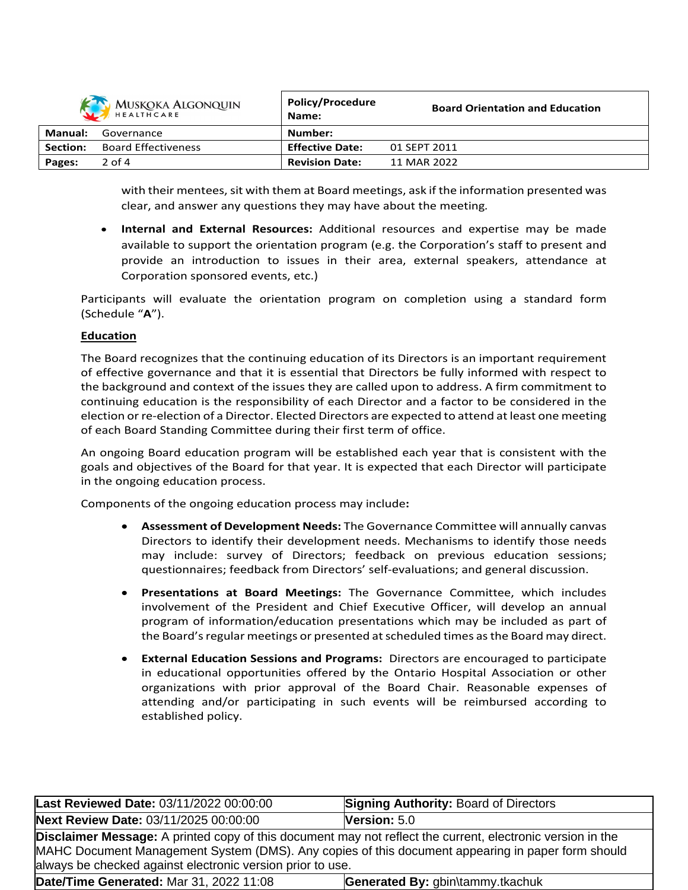|          | MUSKOKA ALGONQUIN          | <b>Policy/Procedure</b><br>Name: | <b>Board Orientation and Education</b> |
|----------|----------------------------|----------------------------------|----------------------------------------|
| Manual:  | Governance                 | Number:                          |                                        |
| Section: | <b>Board Effectiveness</b> | <b>Effective Date:</b>           | 01 SEPT 2011                           |
| Pages:   | $2$ of 4                   | <b>Revision Date:</b>            | 11 MAR 2022                            |

with their mentees, sit with them at Board meetings, ask if the information presented was clear, and answer any questions they may have about the meeting*.*

 **Internal and External Resources:** Additional resources and expertise may be made available to support the orientation program (e.g. the Corporation's staff to present and provide an introduction to issues in their area, external speakers, attendance at Corporation sponsored events, etc.)

Participants will evaluate the orientation program on completion using a standard form (Schedule "**A**").

## **Education**

The Board recognizes that the continuing education of its Directors is an important requirement of effective governance and that it is essential that Directors be fully informed with respect to the background and context of the issues they are called upon to address. A firm commitment to continuing education is the responsibility of each Director and a factor to be considered in the election orre-election of a Director. Elected Directors are expected to attend at least one meeting of each Board Standing Committee during their first term of office.

An ongoing Board education program will be established each year that is consistent with the goals and objectives of the Board for that year. It is expected that each Director will participate in the ongoing education process.

Components of the ongoing education process may include**:**

- **Assessment of Development Needs:** The Governance Committee will annually canvas Directors to identify their development needs. Mechanisms to identify those needs may include: survey of Directors; feedback on previous education sessions; questionnaires; feedback from Directors' self-evaluations; and general discussion.
- **Presentations at Board Meetings:** The Governance Committee, which includes involvement of the President and Chief Executive Officer, will develop an annual program of information/education presentations which may be included as part of the Board's regular meetings or presented at scheduled times as the Board may direct.
- **External Education Sessions and Programs:** Directors are encouraged to participate in educational opportunities offered by the Ontario Hospital Association or other organizations with prior approval of the Board Chair. Reasonable expenses of attending and/or participating in such events will be reimbursed according to established policy.

| Last Reviewed Date: 03/11/2022 00:00:00                                                                                                                                                                                                                                              | <b>Signing Authority: Board of Directors</b> |  |
|--------------------------------------------------------------------------------------------------------------------------------------------------------------------------------------------------------------------------------------------------------------------------------------|----------------------------------------------|--|
| Next Review Date: 03/11/2025 00:00:00                                                                                                                                                                                                                                                | Version: $5.0$                               |  |
| <b>Disclaimer Message:</b> A printed copy of this document may not reflect the current, electronic version in the<br>MAHC Document Management System (DMS). Any copies of this document appearing in paper form should<br>always be checked against electronic version prior to use. |                                              |  |
| Date/Time Generated: Mar 31, 2022 11:08                                                                                                                                                                                                                                              | Generated By: gbin\tammy.tkachuk             |  |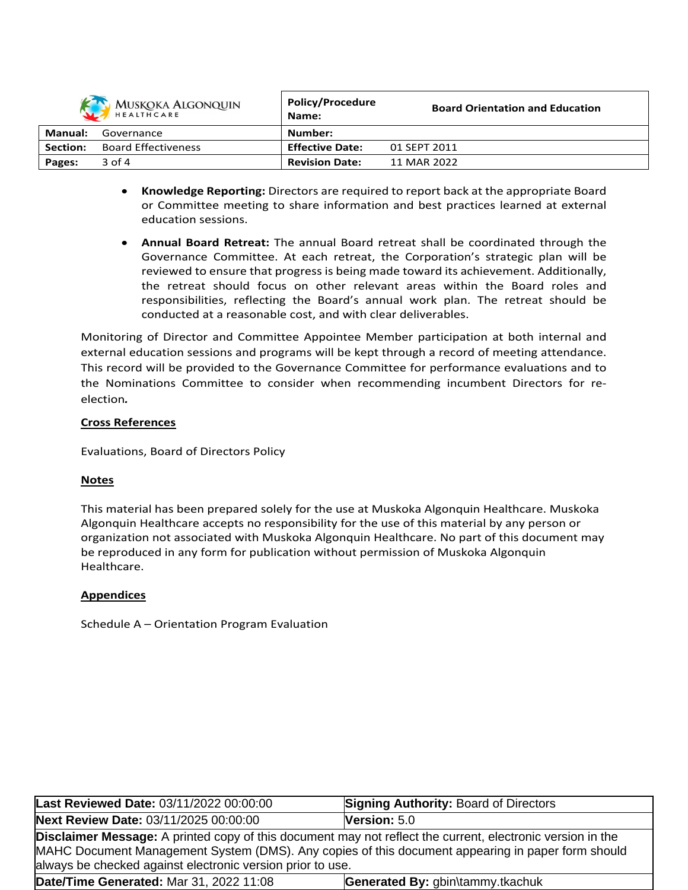|          | MUSKOKA ALGONQUIN          | <b>Policy/Procedure</b><br>Name: | <b>Board Orientation and Education</b> |
|----------|----------------------------|----------------------------------|----------------------------------------|
| Manual:  | Governance                 | Number:                          |                                        |
| Section: | <b>Board Effectiveness</b> | <b>Effective Date:</b>           | 01 SEPT 2011                           |
| Pages:   | $3$ of $4$                 | <b>Revision Date:</b>            | 11 MAR 2022                            |

- **Knowledge Reporting:** Directors are required to report back at the appropriate Board or Committee meeting to share information and best practices learned at external education sessions.
- **Annual Board Retreat:** The annual Board retreat shall be coordinated through the Governance Committee. At each retreat, the Corporation's strategic plan will be reviewed to ensure that progress is being made toward its achievement. Additionally, the retreat should focus on other relevant areas within the Board roles and responsibilities, reflecting the Board's annual work plan. The retreat should be conducted at a reasonable cost, and with clear deliverables.

Monitoring of Director and Committee Appointee Member participation at both internal and external education sessions and programs will be kept through a record of meeting attendance. This record will be provided to the Governance Committee for performance evaluations and to the Nominations Committee to consider when recommending incumbent Directors for reelection*.*

# **Cross References**

Evaluations, Board of Directors Policy

# **Notes**

This material has been prepared solely for the use at Muskoka Algonquin Healthcare. Muskoka Algonquin Healthcare accepts no responsibility for the use of this material by any person or organization not associated with Muskoka Algonquin Healthcare. No part of this document may be reproduced in any form for publication without permission of Muskoka Algonquin Healthcare.

## **Appendices**

Schedule A – Orientation Program Evaluation

| Last Reviewed Date: 03/11/2022 00:00:00                                                                                                                                                                                                                                              | <b>Signing Authority: Board of Directors</b> |  |  |
|--------------------------------------------------------------------------------------------------------------------------------------------------------------------------------------------------------------------------------------------------------------------------------------|----------------------------------------------|--|--|
| Next Review Date: 03/11/2025 00:00:00                                                                                                                                                                                                                                                | Version: 5.0                                 |  |  |
| <b>Disclaimer Message:</b> A printed copy of this document may not reflect the current, electronic version in the<br>MAHC Document Management System (DMS). Any copies of this document appearing in paper form should<br>always be checked against electronic version prior to use. |                                              |  |  |
| Date/Time Generated: Mar 31, 2022 11:08                                                                                                                                                                                                                                              | Generated By: gbin\tammy.tkachuk             |  |  |